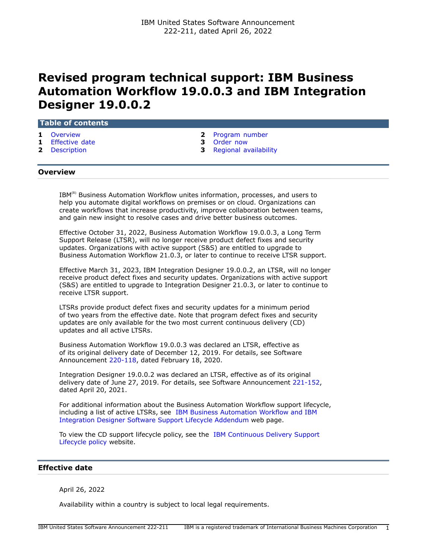# **Revised program technical support: IBM Business Automation Workflow 19.0.0.3 and IBM Integration Designer 19.0.0.2**

### **Table of contents**

- 
- **1** [Effective date](#page-0-1) **3** [Order now](#page-2-0)
- 
- **1** [Overview](#page-0-0) **2** [Program number](#page-1-0)
	-
- **2** [Description](#page-1-1) **3** [Regional availability](#page-2-1)

## <span id="page-0-0"></span>**Overview**

IBM<sup>(R)</sup> Business Automation Workflow unites information, processes, and users to help you automate digital workflows on premises or on cloud. Organizations can create workflows that increase productivity, improve collaboration between teams, and gain new insight to resolve cases and drive better business outcomes.

Effective October 31, 2022, Business Automation Workflow 19.0.0.3, a Long Term Support Release (LTSR), will no longer receive product defect fixes and security updates. Organizations with active support (S&S) are entitled to upgrade to Business Automation Workflow 21.0.3, or later to continue to receive LTSR support.

Effective March 31, 2023, IBM Integration Designer 19.0.0.2, an LTSR, will no longer receive product defect fixes and security updates. Organizations with active support (S&S) are entitled to upgrade to Integration Designer 21.0.3, or later to continue to receive LTSR support.

LTSRs provide product defect fixes and security updates for a minimum period of two years from the effective date. Note that program defect fixes and security updates are only available for the two most current continuous delivery (CD) updates and all active LTSRs.

Business Automation Workflow 19.0.0.3 was declared an LTSR, effective as of its original delivery date of December 12, 2019. For details, see Software Announcement [220-118](http://www.ibm.com/common/ssi/cgi-bin/ssialias?infotype=an&subtype=ca&appname=gpateam&supplier=897&letternum=ENUS220-118), dated February 18, 2020.

Integration Designer 19.0.0.2 was declared an LTSR, effective as of its original delivery date of June 27, 2019. For details, see Software Announcement [221-152](http://www.ibm.com/common/ssi/cgi-bin/ssialias?infotype=an&subtype=ca&appname=gpateam&supplier=897&letternum=ENUS221-152), dated April 20, 2021.

For additional information about the Business Automation Workflow support lifecycle, including a list of active LTSRs, see [IBM Business Automation Workflow and IBM](https://www.ibm.com/support/pages/node/871252) [Integration Designer Software Support Lifecycle Addendum](https://www.ibm.com/support/pages/node/871252) web page.

To view the CD support lifecycle policy, see the [IBM Continuous Delivery Support](https://www.ibm.com/support/pages/ibm-continuous-delivery-support-lifecycle-policy) [Lifecycle policy](https://www.ibm.com/support/pages/ibm-continuous-delivery-support-lifecycle-policy) website.

## <span id="page-0-1"></span>**Effective date**

April 26, 2022

Availability within a country is subject to local legal requirements.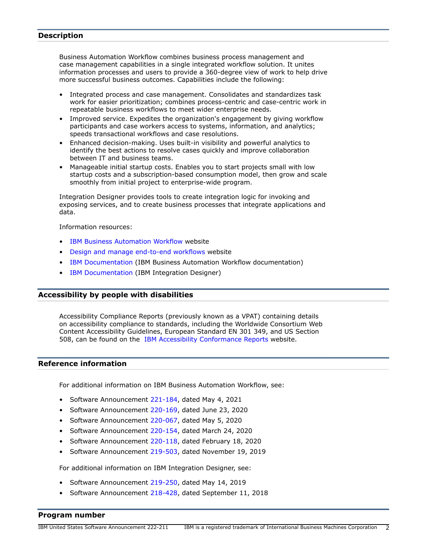# <span id="page-1-1"></span>**Description**

Business Automation Workflow combines business process management and case management capabilities in a single integrated workflow solution. It unites information processes and users to provide a 360-degree view of work to help drive more successful business outcomes. Capabilities include the following:

- Integrated process and case management. Consolidates and standardizes task work for easier prioritization; combines process-centric and case-centric work in repeatable business workflows to meet wider enterprise needs.
- Improved service. Expedites the organization's engagement by giving workflow participants and case workers access to systems, information, and analytics; speeds transactional workflows and case resolutions.
- Enhanced decision-making. Uses built-in visibility and powerful analytics to identify the best actions to resolve cases quickly and improve collaboration between IT and business teams.
- Manageable initial startup costs. Enables you to start projects small with low startup costs and a subscription-based consumption model, then grow and scale smoothly from initial project to enterprise-wide program.

Integration Designer provides tools to create integration logic for invoking and exposing services, and to create business processes that integrate applications and data.

Information resources:

- [IBM Business Automation Workflow](https://www.ibm.com/products/business-automation-workflow) website
- [Design and manage end-to-end workflows](https://www.ibm.com/cloud/workflow) website
- [IBM Documentation](https://www.ibm.com/docs/en/baw) (IBM Business Automation Workflow documentation)
- [IBM Documentation](https://www.ibm.com/docs/en/baw/20.x?topic=integration-designer-v2103) (IBM Integration Designer)

# **Accessibility by people with disabilities**

Accessibility Compliance Reports (previously known as a VPAT) containing details on accessibility compliance to standards, including the Worldwide Consortium Web Content Accessibility Guidelines, European Standard EN 301 349, and US Section 508, can be found on the [IBM Accessibility Conformance Reports](https://able.ibm.com/request/) website.

#### **Reference information**

For additional information on IBM Business Automation Workflow, see:

- Software Announcement [221-184,](http://www.ibm.com/common/ssi/cgi-bin/ssialias?infotype=an&subtype=ca&appname=gpateam&supplier=897&letternum=ENUS221-184) dated May 4, 2021
- Software Announcement [220-169,](http://www.ibm.com/common/ssi/cgi-bin/ssialias?infotype=an&subtype=ca&appname=gpateam&supplier=897&letternum=ENUS220-169) dated June 23, 2020
- Software Announcement [220-067,](http://www.ibm.com/common/ssi/cgi-bin/ssialias?infotype=an&subtype=ca&appname=gpateam&supplier=897&letternum=ENUS220-067) dated May 5, 2020
- Software Announcement [220-154,](http://www.ibm.com/common/ssi/cgi-bin/ssialias?infotype=an&subtype=ca&appname=gpateam&supplier=897&letternum=ENUS220-154) dated March 24, 2020
- Software Announcement [220-118,](http://www.ibm.com/common/ssi/cgi-bin/ssialias?infotype=an&subtype=ca&appname=gpateam&supplier=897&letternum=ENUS220-118) dated February 18, 2020
- Software Announcement [219-503,](http://www.ibm.com/common/ssi/cgi-bin/ssialias?infotype=an&subtype=ca&appname=gpateam&supplier=897&letternum=ENUS219-503) dated November 19, 2019

For additional information on IBM Integration Designer, see:

- Software Announcement [219-250,](http://www.ibm.com/common/ssi/cgi-bin/ssialias?infotype=an&subtype=ca&appname=gpateam&supplier=897&letternum=ENUS219-250) dated May 14, 2019
- Software Announcement [218-428,](http://www.ibm.com/common/ssi/cgi-bin/ssialias?infotype=an&subtype=ca&appname=gpateam&supplier=897&letternum=ENUS218-428) dated September 11, 2018

# <span id="page-1-0"></span>**Program number**